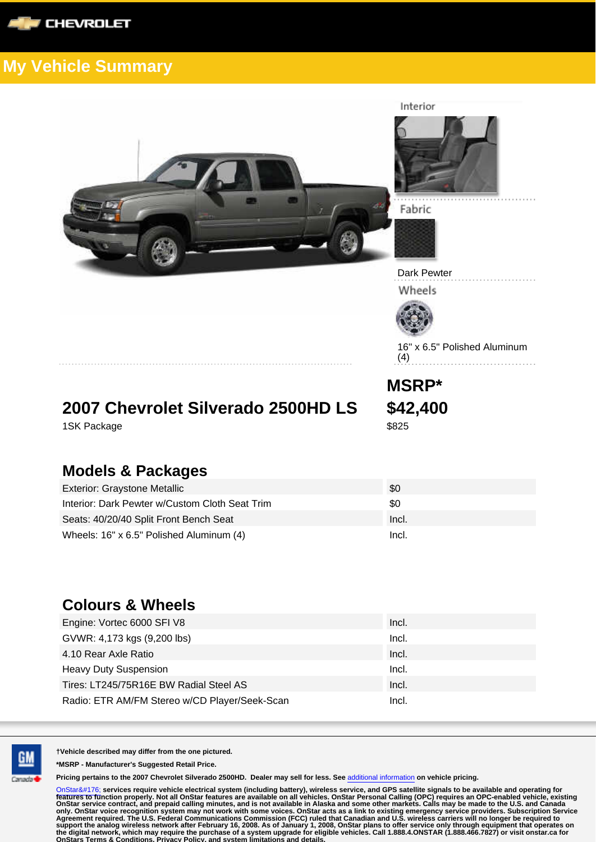



Interior

Fabric





16" x 6.5" Polished Aluminum (4)

**2007 Chevrolet Silverado 2500HD LS \$42,400** 1SK Package \$825

**MSRP\***

## **Models & Packages**

| <b>Exterior: Graystone Metallic</b>            | \$0   |
|------------------------------------------------|-------|
| Interior: Dark Pewter w/Custom Cloth Seat Trim | \$0   |
| Seats: 40/20/40 Split Front Bench Seat         | Incl. |
| Wheels: 16" x 6.5" Polished Aluminum (4)       | Incl. |

## **Colours & Wheels**

| Engine: Vortec 6000 SFI V8                    | Incl. |
|-----------------------------------------------|-------|
| GVWR: 4,173 kgs (9,200 lbs)                   | Incl. |
| 4.10 Rear Axle Ratio                          | Incl. |
| <b>Heavy Duty Suspension</b>                  | Incl. |
| Tires: LT245/75R16E BW Radial Steel AS        | Incl. |
| Radio: ETR AM/FM Stereo w/CD Player/Seek-Scan | Incl. |



**†Vehicle described may differ from the one pictured.**

**\*MSRP - Manufacturer's Suggested Retail Price.**

**Pricing pertains to the 2007 Chevrolet Silverado 2500HD. Dealer may sell for less. See** additional information **on vehicle pricing.**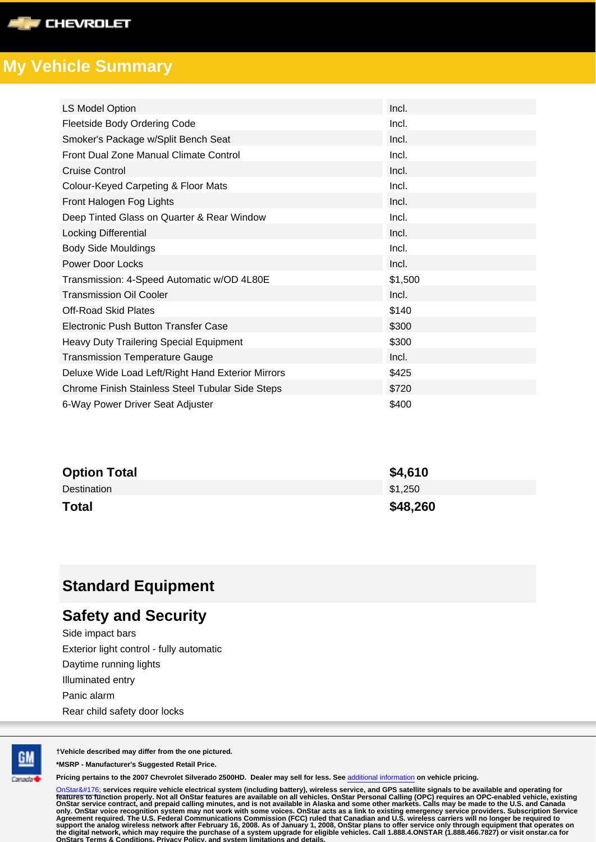

| <b>LS Model Option</b>                            | Incl.   |
|---------------------------------------------------|---------|
| Fleetside Body Ordering Code                      | Incl.   |
| Smoker's Package w/Split Bench Seat               | Incl.   |
| Front Dual Zone Manual Climate Control            | Incl.   |
| Cruise Control                                    | Incl.   |
| Colour-Keyed Carpeting & Floor Mats               | Incl.   |
| Front Halogen Fog Lights                          | Incl.   |
| Deep Tinted Glass on Quarter & Rear Window        | Incl.   |
| <b>Locking Differential</b>                       | Incl.   |
| <b>Body Side Mouldings</b>                        | Incl.   |
| Power Door Locks                                  | Incl.   |
| Transmission: 4-Speed Automatic w/OD 4L80E        | \$1,500 |
| <b>Transmission Oil Cooler</b>                    | Incl.   |
| Off-Road Skid Plates                              | \$140   |
| Electronic Push Button Transfer Case              | \$300   |
| Heavy Duty Trailering Special Equipment           | \$300   |
| <b>Transmission Temperature Gauge</b>             | Incl.   |
| Deluxe Wide Load Left/Right Hand Exterior Mirrors | \$425   |
| Chrome Finish Stainless Steel Tubular Side Steps  | \$720   |
| 6-Way Power Driver Seat Adjuster                  | \$400   |

| <b>Option Total</b> | \$4,610  |
|---------------------|----------|
| Destination         | \$1.250  |
| <b>Total</b>        | \$48,260 |

## **Standard Equipment**

## **Safety and Security**

Side impact bars Exterior light control - fully automatic Daytime running lights Illuminated entry Panic alarm Rear child safety door locks



**†Vehicle described may differ from the one pictured.**

**\*MSRP - Manufacturer's Suggested Retail Price.**

**Pricing pertains to the 2007 Chevrolet Silverado 2500HD. Dealer may sell for less. See** additional information **on vehicle pricing.**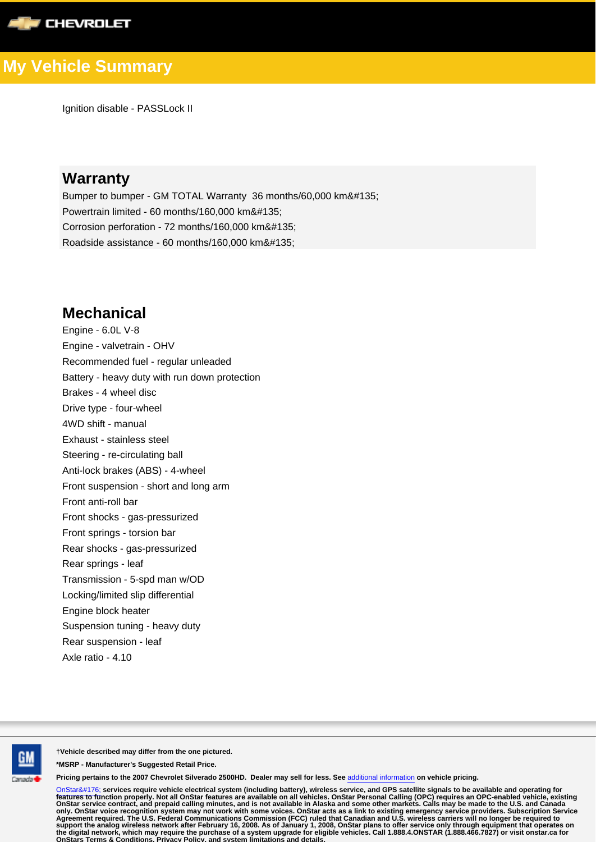

Ignition disable - PASSLock II

## **Warranty**

Bumper to bumper - GM TOTAL Warranty 36 months/60,000 km‡ Powertrain limited - 60 months/160,000 km‡ Corrosion perforation - 72 months/160,000 km‡ Roadside assistance - 60 months/160,000 km‡

### **Mechanical**

Engine - 6.0L V-8 Engine - valvetrain - OHV Recommended fuel - regular unleaded Battery - heavy duty with run down protection Brakes - 4 wheel disc Drive type - four-wheel 4WD shift - manual Exhaust - stainless steel Steering - re-circulating ball Anti-lock brakes (ABS) - 4-wheel Front suspension - short and long arm Front anti-roll bar Front shocks - gas-pressurized Front springs - torsion bar Rear shocks - gas-pressurized Rear springs - leaf Transmission - 5-spd man w/OD Locking/limited slip differential Engine block heater Suspension tuning - heavy duty Rear suspension - leaf Axle ratio - 4.10



**†Vehicle described may differ from the one pictured.**

**\*MSRP - Manufacturer's Suggested Retail Price.**

**Pricing pertains to the 2007 Chevrolet Silverado 2500HD. Dealer may sell for less. See** additional information **on vehicle pricing.**

OnStar° **services require vehicle electrical system (including battery), wireless service, and GPS satellite signals to be available and operating for** Features to function properly. Not all OnStar features are available on all venicles. OnStar Personal Calling (OPC) requires an overall definitions, and is not available in Alaska and some other markets. Calls may be made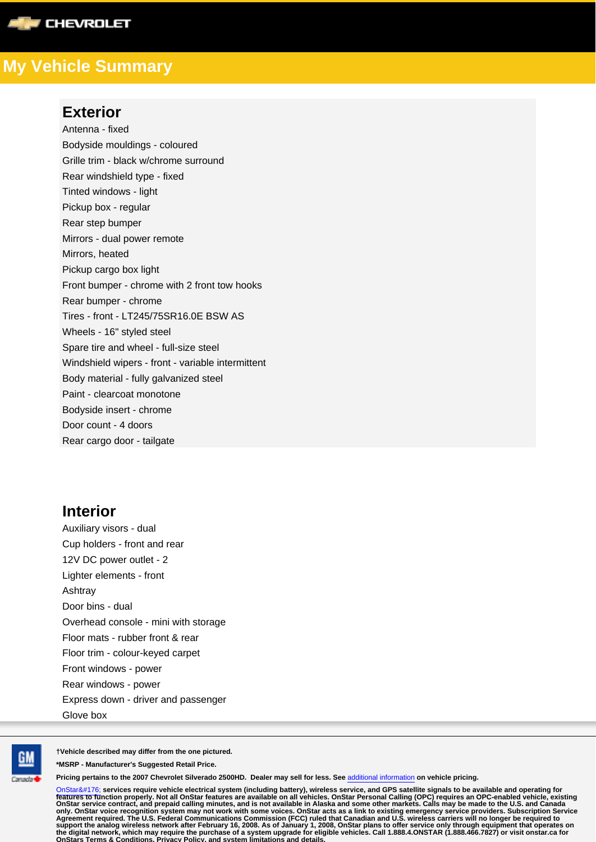

#### **Exterior**

Antenna - fixed Bodyside mouldings - coloured Grille trim - black w/chrome surround Rear windshield type - fixed Tinted windows - light Pickup box - regular Rear step bumper Mirrors - dual power remote Mirrors, heated Pickup cargo box light Front bumper - chrome with 2 front tow hooks Rear bumper - chrome Tires - front - LT245/75SR16.0E BSW AS Wheels - 16" styled steel Spare tire and wheel - full-size steel Windshield wipers - front - variable intermittent Body material - fully galvanized steel Paint - clearcoat monotone Bodyside insert - chrome Door count - 4 doors Rear cargo door - tailgate

### **Interior**

Auxiliary visors - dual Cup holders - front and rear 12V DC power outlet - 2 Lighter elements - front Ashtray Door bins - dual Overhead console - mini with storage Floor mats - rubber front & rear Floor trim - colour-keyed carpet Front windows - power Rear windows - power Express down - driver and passenger Glove box



**†Vehicle described may differ from the one pictured.**

**\*MSRP - Manufacturer's Suggested Retail Price.**

**Pricing pertains to the 2007 Chevrolet Silverado 2500HD. Dealer may sell for less. See** additional information **on vehicle pricing.**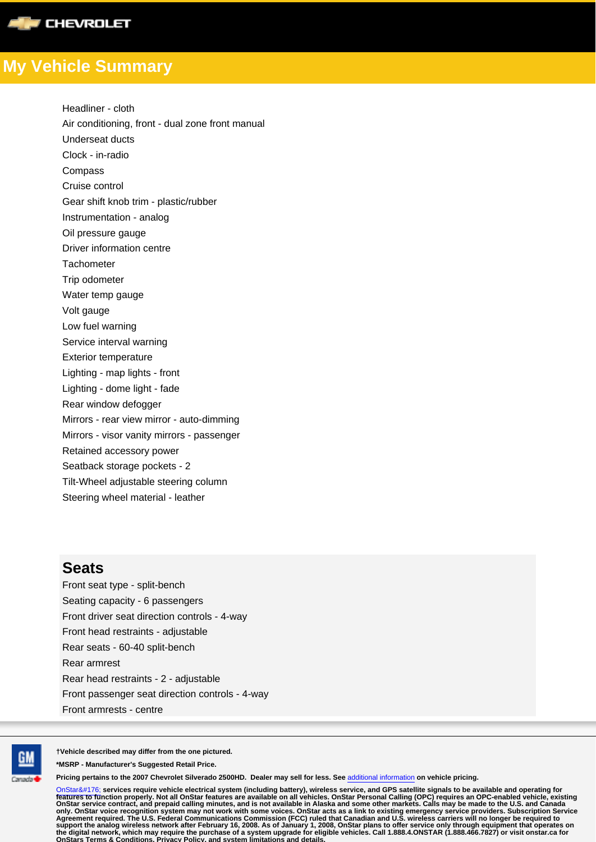

Headliner - cloth Air conditioning, front - dual zone front manual Underseat ducts Clock - in-radio Compass Cruise control Gear shift knob trim - plastic/rubber Instrumentation - analog Oil pressure gauge Driver information centre **Tachometer** Trip odometer Water temp gauge Volt gauge Low fuel warning Service interval warning Exterior temperature Lighting - map lights - front Lighting - dome light - fade Rear window defogger Mirrors - rear view mirror - auto-dimming Mirrors - visor vanity mirrors - passenger Retained accessory power Seatback storage pockets - 2 Tilt-Wheel adjustable steering column Steering wheel material - leather

#### **Seats**

Front seat type - split-bench Seating capacity - 6 passengers Front driver seat direction controls - 4-way Front head restraints - adjustable Rear seats - 60-40 split-bench Rear armrest Rear head restraints - 2 - adjustable Front passenger seat direction controls - 4-way Front armrests - centre



**†Vehicle described may differ from the one pictured.**

**\*MSRP - Manufacturer's Suggested Retail Price.**

**Pricing pertains to the 2007 Chevrolet Silverado 2500HD. Dealer may sell for less. See** additional information **on vehicle pricing.**